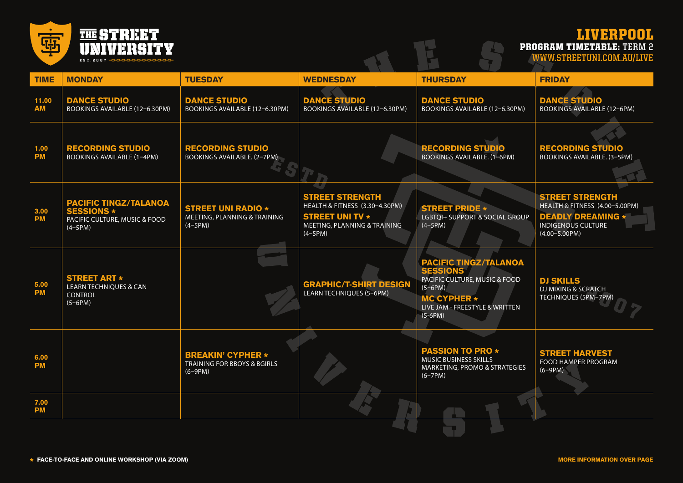

## LIVERPOOL PROGRAM TIMETABLE: **TERM 2**

**WWW.STREETUNI.COM.AU/LIVE**

| <b>TIME</b>        | <b>MONDAY</b>                                                                                   | <b>TUESDAY</b>                                                         | <b>WEDNESDAY</b>                                                                                                                | <b>THURSDAY</b>                                                                                                                                                               | <b>FRIDAY</b>                                                                                                                            |
|--------------------|-------------------------------------------------------------------------------------------------|------------------------------------------------------------------------|---------------------------------------------------------------------------------------------------------------------------------|-------------------------------------------------------------------------------------------------------------------------------------------------------------------------------|------------------------------------------------------------------------------------------------------------------------------------------|
| 11.00<br><b>AM</b> | <b>DANCE STUDIO</b><br>BOOKINGS AVAILABLE (12-6.30PM)                                           | <b>DANCE STUDIO</b><br>BOOKINGS AVAILABLE (12-6.30PM)                  | <b>DANCE STUDIO</b><br><b>BOOKINGS AVAILABLE (12-6.30PM)</b>                                                                    | <b>DANCE STUDIO</b><br>BOOKINGS AVAILABLE (12-6.30PM)                                                                                                                         | <b>DANCE STUDIO</b><br><b>BOOKINGS AVAILABLE (12-6PM)</b>                                                                                |
| 1.00<br><b>PM</b>  | <b>RECORDING STUDIO</b><br><b>BOOKINGS AVAILABLE (1-4PM)</b>                                    | <b>RECORDING STUDIO</b><br>BOOKINGS AVAILABLE. (2-7PM)                 |                                                                                                                                 | <b>RECORDING STUDIO</b><br>BOOKINGS AVAILABLE. (1-6PM)                                                                                                                        | <b>RECORDING STUDIO</b><br>BOOKINGS AVAILABLE. (3-5PM)                                                                                   |
| 3.00<br><b>PM</b>  | <b>PACIFIC TINGZ/TALANOA</b><br><b>SESSIONS *</b><br>PACIFIC CULTURE, MUSIC & FOOD<br>$(4-5PM)$ | <b>STREET UNI RADIO *</b><br>MEETING, PLANNING & TRAINING<br>$(4-5PM)$ | <b>STREET STRENGTH</b><br>HEALTH & FITNESS (3.30-4.30PM)<br><b>STREET UNI TV *</b><br>MEETING, PLANNING & TRAINING<br>$(4-5PM)$ | <b>STREET PRIDE *</b><br>LGBTQI+ SUPPORT & SOCIAL GROUP<br>$(4-5PM)$                                                                                                          | <b>STREET STRENGTH</b><br>HEALTH & FITNESS (4.00-5.00PM)<br><b>DEADLY DREAMING *</b><br><b>INDIGENOUS CULTURE</b><br>$(4.00 - 5.00 P M)$ |
| 5.00<br><b>PM</b>  | <b>STREET ART *</b><br><b>LEARN TECHNIQUES &amp; CAN</b><br>CONTROL<br>$(5-6PM)$                |                                                                        | <b>GRAPHIC/T-SHIRT DESIGN</b><br><b>LEARN TECHNIQUES (5-6PM)</b>                                                                | <b>PACIFIC TINGZ/TALANOA</b><br><b>SESSIONS</b><br><b>PACIFIC CULTURE, MUSIC &amp; FOOD</b><br>$(5-6PM)$<br><b>MC CYPHER *</b><br>LIVE JAM - FREESTYLE & WRITTEN<br>$(5-6PM)$ | <b>DJ SKILLS</b><br><b>DJ MIXING &amp; SCRATCH</b><br>TECHNIQUES (5PM-7PM)                                                               |
| 6.00<br><b>PM</b>  |                                                                                                 | <b>BREAKIN' CYPHER *</b><br>TRAINING FOR BBOYS & BGIRLS<br>$(6-9PM)$   |                                                                                                                                 | <b>PASSION TO PRO *</b><br>MUSIC BUSINESS SKILLS<br>MARKETING, PROMO & STRATEGIES<br>$(6-7PM)$                                                                                | <b>STREET HARVEST</b><br>FOOD HAMPER PROGRAM<br>$(6-9PM)$                                                                                |
| 7.00<br><b>PM</b>  |                                                                                                 |                                                                        |                                                                                                                                 |                                                                                                                                                                               |                                                                                                                                          |

 $\mathcal{L}(\mathcal{X})$